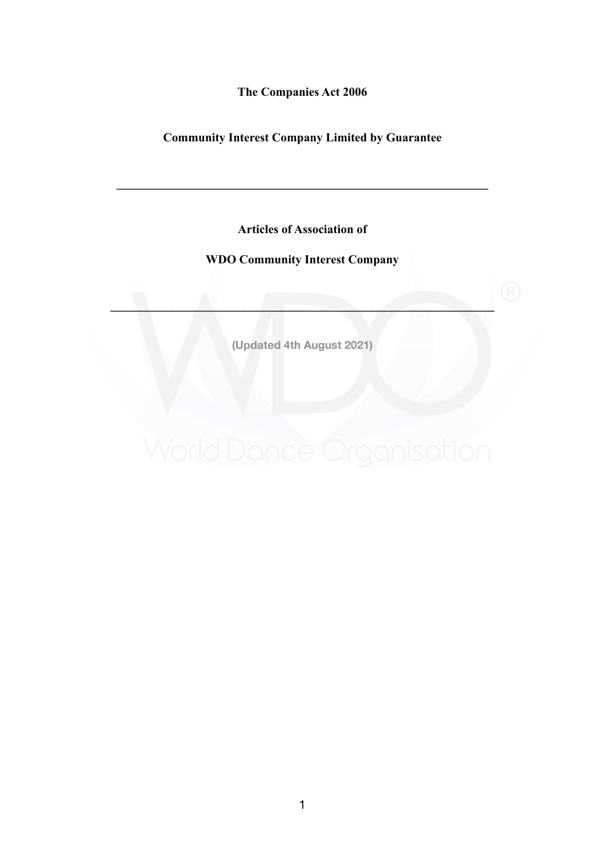**The Companies Act 2006** 

# **Community Interest Company Limited by Guarantee**

**\_\_\_\_\_\_\_\_\_\_\_\_\_\_\_\_\_\_\_\_\_\_\_\_\_\_\_\_\_\_\_\_\_\_\_\_\_\_\_\_\_\_\_\_\_\_\_\_\_\_\_\_\_\_\_\_\_\_\_\_\_** 

**Articles of Association of** 

# **WDO Community Interest Company**

**(Updated 4th August 2021)** 

**\_\_\_\_\_\_\_\_\_\_\_\_\_\_\_\_\_\_\_\_\_\_\_\_\_\_\_\_\_\_\_\_\_\_\_\_\_\_\_\_\_\_\_\_\_\_\_\_\_\_\_\_\_\_\_\_\_\_\_\_\_\_\_**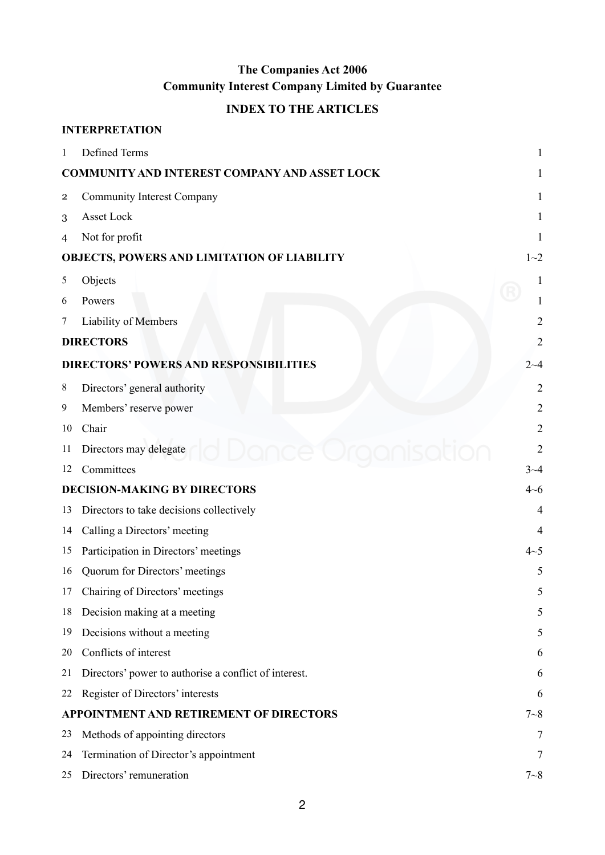# **The Companies Act 2006 Community Interest Company Limited by Guarantee**

# **INDEX TO THE ARTICLES**

|                | <b>INTERPRETATION</b>                                 |                |
|----------------|-------------------------------------------------------|----------------|
| 1              | Defined Terms                                         |                |
|                | <b>COMMUNITY AND INTEREST COMPANY AND ASSET LOCK</b>  |                |
| $\overline{2}$ | <b>Community Interest Company</b>                     | 1              |
| 3              | Asset Lock                                            | 1              |
| 4              | Not for profit                                        |                |
|                | OBJECTS, POWERS AND LIMITATION OF LIABILITY           | $1 - 2$        |
| 5              | Objects                                               |                |
| 6              | Powers                                                |                |
| 7              | Liability of Members                                  | $\overline{2}$ |
|                | <b>DIRECTORS</b>                                      | $\overline{2}$ |
|                | <b>DIRECTORS' POWERS AND RESPONSIBILITIES</b>         | $2 - 4$        |
| 8              | Directors' general authority                          | $\overline{2}$ |
| 9              | Members' reserve power                                | $\overline{c}$ |
| 10             | Chair                                                 | $\overline{2}$ |
| 11             | Directors may delegate                                | $\overline{2}$ |
| 12             | Committees                                            | $3 - 4$        |
|                | <b>DECISION-MAKING BY DIRECTORS</b>                   | 4~6            |
| 13             | Directors to take decisions collectively              | $\overline{4}$ |
| 14             | Calling a Directors' meeting                          |                |
| 15             | Participation in Directors' meetings                  | 4~5            |
| 16             | Quorum for Directors' meetings                        | 5              |
| 17             | Chairing of Directors' meetings                       | 5              |
| 18             | Decision making at a meeting                          | 5              |
| 19             | Decisions without a meeting                           | 5              |
| 20             | Conflicts of interest                                 | 6              |
| 21             | Directors' power to authorise a conflict of interest. | 6              |
| 22             | Register of Directors' interests                      | 6              |
|                | APPOINTMENT AND RETIREMENT OF DIRECTORS               | $7 - 8$        |
| 23             | Methods of appointing directors                       | 7              |
| 24             | Termination of Director's appointment                 | 7              |
| 25             | Directors' remuneration                               | $7 - 8$        |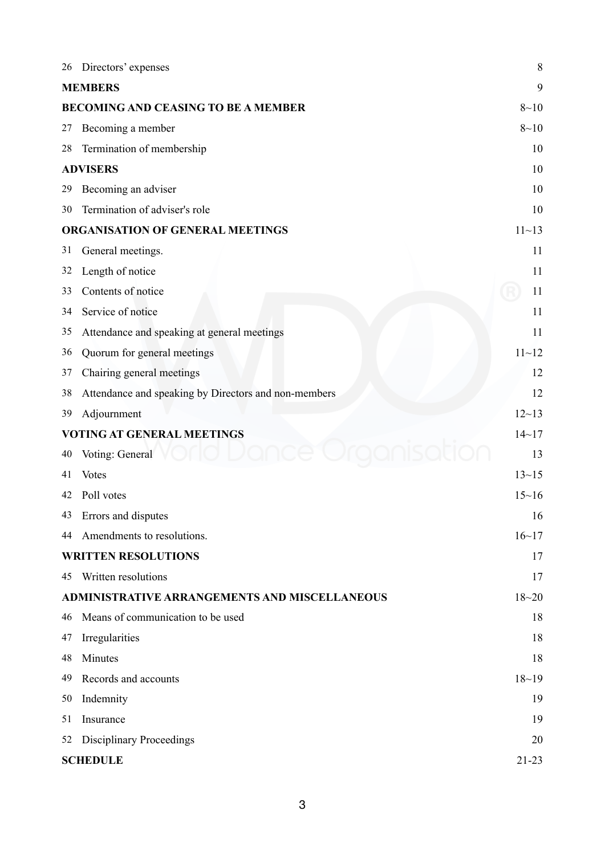| 26 | Directors' expenses                                  | 8         |
|----|------------------------------------------------------|-----------|
|    | <b>MEMBERS</b>                                       | 9         |
|    | <b>BECOMING AND CEASING TO BE A MEMBER</b>           | $8 - 10$  |
| 27 | Becoming a member                                    | $8 - 10$  |
| 28 | Termination of membership                            | 10        |
|    | <b>ADVISERS</b>                                      | 10        |
| 29 | Becoming an adviser                                  | 10        |
| 30 | Termination of adviser's role                        | 10        |
|    | ORGANISATION OF GENERAL MEETINGS                     | $11 - 13$ |
| 31 | General meetings.                                    | 11        |
| 32 | Length of notice                                     | 11        |
| 33 | Contents of notice                                   | 11        |
| 34 | Service of notice                                    | 11        |
| 35 | Attendance and speaking at general meetings          | 11        |
| 36 | Quorum for general meetings                          | $11 - 12$ |
| 37 | Chairing general meetings                            | 12        |
| 38 | Attendance and speaking by Directors and non-members | 12        |
| 39 | Adjournment                                          | $12 - 13$ |
|    | <b>VOTING AT GENERAL MEETINGS</b>                    | $14 - 17$ |
| 40 | Voting: General                                      | 13        |
| 41 | <b>Votes</b>                                         | $13 - 15$ |
| 42 | Poll votes                                           | $15 - 16$ |
| 43 | Errors and disputes                                  | 16        |
| 44 | Amendments to resolutions.                           | $16 - 17$ |
|    | <b>WRITTEN RESOLUTIONS</b>                           | 17        |
| 45 | Written resolutions                                  | 17        |
|    | ADMINISTRATIVE ARRANGEMENTS AND MISCELLANEOUS        | $18 - 20$ |
| 46 | Means of communication to be used                    | 18        |
| 47 | Irregularities                                       | 18        |
| 48 | Minutes                                              | 18        |
| 49 | Records and accounts                                 | $18 - 19$ |
| 50 | Indemnity                                            | 19        |
| 51 | Insurance                                            | 19        |
| 52 | <b>Disciplinary Proceedings</b>                      | 20        |
|    | <b>SCHEDULE</b>                                      | $21 - 23$ |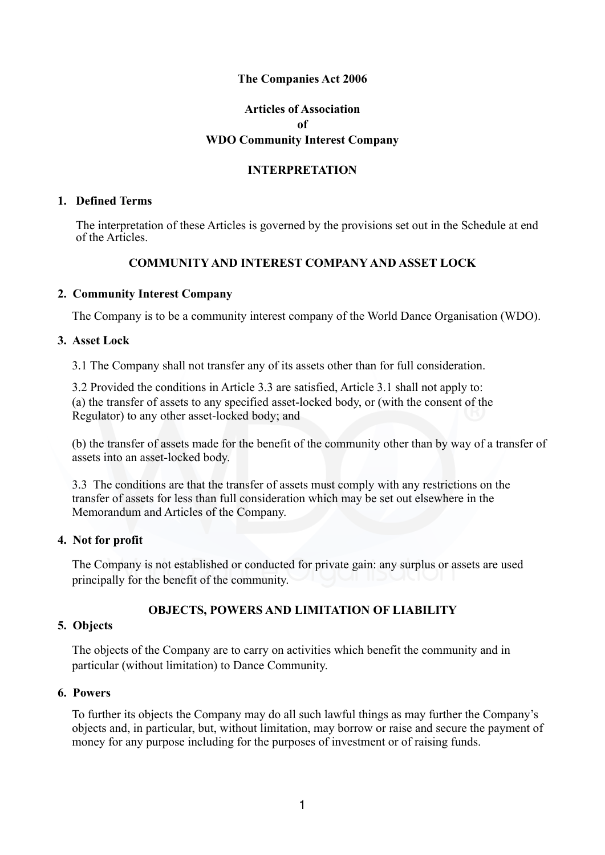#### **The Companies Act 2006**

# **Articles of Association of WDO Community Interest Company**

#### **INTERPRETATION**

#### **1. Defined Terms**

The interpretation of these Articles is governed by the provisions set out in the Schedule at end of the Articles.

#### **COMMUNITY AND INTEREST COMPANY AND ASSET LOCK**

#### **2. Community Interest Company**

The Company is to be a community interest company of the World Dance Organisation (WDO).

#### **3. Asset Lock**

3.1 The Company shall not transfer any of its assets other than for full consideration.

3.2 Provided the conditions in Article 3.3 are satisfied, Article 3.1 shall not apply to: (a) the transfer of assets to any specified asset-locked body, or (with the consent of the Regulator) to any other asset-locked body; and

(b) the transfer of assets made for the benefit of the community other than by way of a transfer of assets into an asset-locked body.

3.3 The conditions are that the transfer of assets must comply with any restrictions on the transfer of assets for less than full consideration which may be set out elsewhere in the Memorandum and Articles of the Company.

#### **4. Not for profit**

The Company is not established or conducted for private gain: any surplus or assets are used principally for the benefit of the community.

#### **OBJECTS, POWERS AND LIMITATION OF LIABILITY**

#### **5. Objects**

The objects of the Company are to carry on activities which benefit the community and in particular (without limitation) to Dance Community.

#### **6. Powers**

To further its objects the Company may do all such lawful things as may further the Company's objects and, in particular, but, without limitation, may borrow or raise and secure the payment of money for any purpose including for the purposes of investment or of raising funds.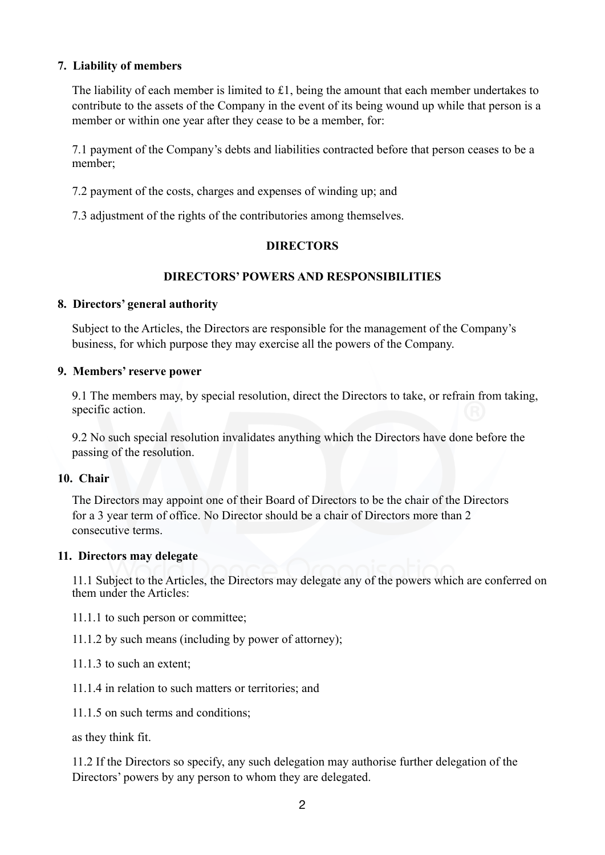#### **7. Liability of members**

The liability of each member is limited to £1, being the amount that each member undertakes to contribute to the assets of the Company in the event of its being wound up while that person is a member or within one year after they cease to be a member, for:

7.1 payment of the Company's debts and liabilities contracted before that person ceases to be a member;

7.2 payment of the costs, charges and expenses of winding up; and

7.3 adjustment of the rights of the contributories among themselves.

#### **DIRECTORS**

### **DIRECTORS' POWERS AND RESPONSIBILITIES**

#### **8. Directors' general authority**

Subject to the Articles, the Directors are responsible for the management of the Company's business, for which purpose they may exercise all the powers of the Company.

#### **9. Members' reserve power**

9.1 The members may, by special resolution, direct the Directors to take, or refrain from taking, specific action.

9.2 No such special resolution invalidates anything which the Directors have done before the passing of the resolution.

#### **10. Chair**

The Directors may appoint one of their Board of Directors to be the chair of the Directors for a 3 year term of office. No Director should be a chair of Directors more than 2 consecutive terms.

#### **11. Directors may delegate**

11.1 Subject to the Articles, the Directors may delegate any of the powers which are conferred on them under the Articles:

- 11.1.1 to such person or committee;
- 11.1.2 by such means (including by power of attorney);
- 11.1.3 to such an extent;
- 11.1.4 in relation to such matters or territories; and
- 11.1.5 on such terms and conditions;

as they think fit.

11.2 If the Directors so specify, any such delegation may authorise further delegation of the Directors' powers by any person to whom they are delegated.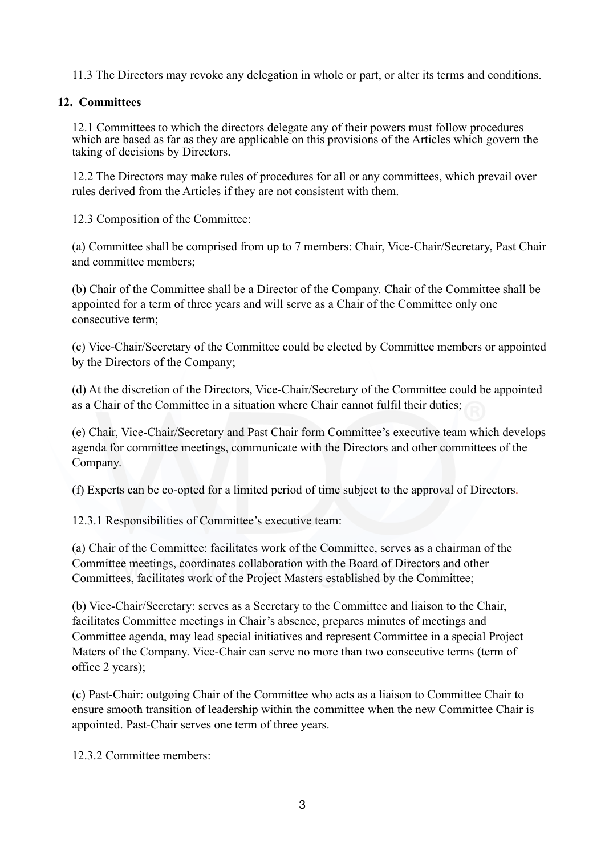11.3 The Directors may revoke any delegation in whole or part, or alter its terms and conditions.

# **12. Committees**

12.1 Committees to which the directors delegate any of their powers must follow procedures which are based as far as they are applicable on this provisions of the Articles which govern the taking of decisions by Directors.

12.2 The Directors may make rules of procedures for all or any committees, which prevail over rules derived from the Articles if they are not consistent with them.

12.3 Composition of the Committee:

(a) Committee shall be comprised from up to 7 members: Chair, Vice-Chair/Secretary, Past Chair and committee members;

(b) Chair of the Committee shall be a Director of the Company. Chair of the Committee shall be appointed for a term of three years and will serve as a Chair of the Committee only one consecutive term;

(c) Vice-Chair/Secretary of the Committee could be elected by Committee members or appointed by the Directors of the Company;

(d) At the discretion of the Directors, Vice-Chair/Secretary of the Committee could be appointed as a Chair of the Committee in a situation where Chair cannot fulfil their duties;

(e) Chair, Vice-Chair/Secretary and Past Chair form Committee's executive team which develops agenda for committee meetings, communicate with the Directors and other committees of the Company.

(f) Experts can be co-opted for a limited period of time subject to the approval of Directors.

12.3.1 Responsibilities of Committee's executive team:

(a) Chair of the Committee: facilitates work of the Committee, serves as a chairman of the Committee meetings, coordinates collaboration with the Board of Directors and other Committees, facilitates work of the Project Masters established by the Committee;

(b) Vice-Chair/Secretary: serves as a Secretary to the Committee and liaison to the Chair, facilitates Committee meetings in Chair's absence, prepares minutes of meetings and Committee agenda, may lead special initiatives and represent Committee in a special Project Maters of the Company. Vice-Chair can serve no more than two consecutive terms (term of office 2 years);

(c) Past-Chair: outgoing Chair of the Committee who acts as a liaison to Committee Chair to ensure smooth transition of leadership within the committee when the new Committee Chair is appointed. Past-Chair serves one term of three years.

12.3.2 Committee members: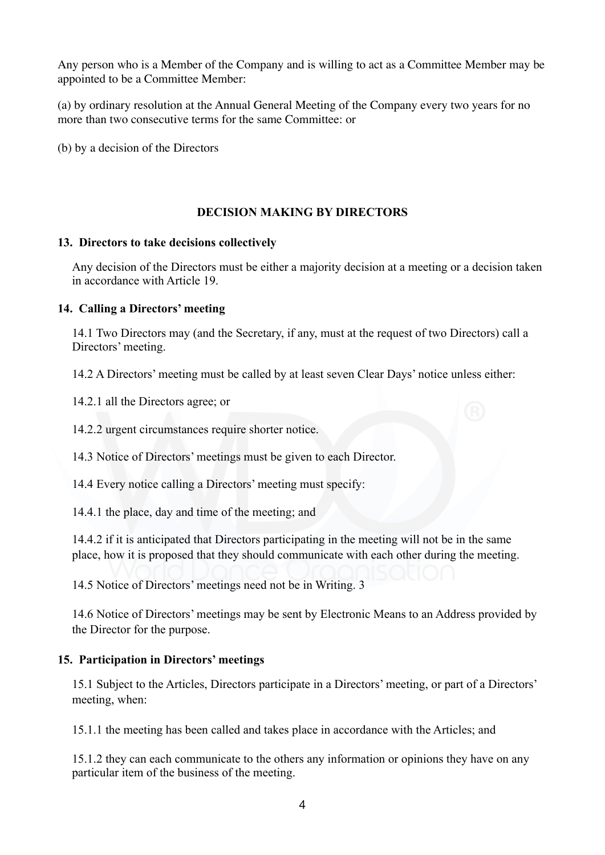Any person who is a Member of the Company and is willing to act as a Committee Member may be appointed to be a Committee Member:

(a) by ordinary resolution at the Annual General Meeting of the Company every two years for no more than two consecutive terms for the same Committee: or

(b) by a decision of the Directors

### **DECISION MAKING BY DIRECTORS**

#### **13. Directors to take decisions collectively**

Any decision of the Directors must be either a majority decision at a meeting or a decision taken in accordance with Article 19.

#### **14. Calling a Directors' meeting**

14.1 Two Directors may (and the Secretary, if any, must at the request of two Directors) call a Directors' meeting.

14.2 A Directors' meeting must be called by at least seven Clear Days' notice unless either:

14.2.1 all the Directors agree; or

14.2.2 urgent circumstances require shorter notice.

14.3 Notice of Directors' meetings must be given to each Director.

14.4 Every notice calling a Directors' meeting must specify:

14.4.1 the place, day and time of the meeting; and

14.4.2 if it is anticipated that Directors participating in the meeting will not be in the same place, how it is proposed that they should communicate with each other during the meeting.

14.5 Notice of Directors' meetings need not be in Writing. 3

14.6 Notice of Directors' meetings may be sent by Electronic Means to an Address provided by the Director for the purpose.

### **15. Participation in Directors' meetings**

15.1 Subject to the Articles, Directors participate in a Directors' meeting, or part of a Directors' meeting, when:

15.1.1 the meeting has been called and takes place in accordance with the Articles; and

15.1.2 they can each communicate to the others any information or opinions they have on any particular item of the business of the meeting.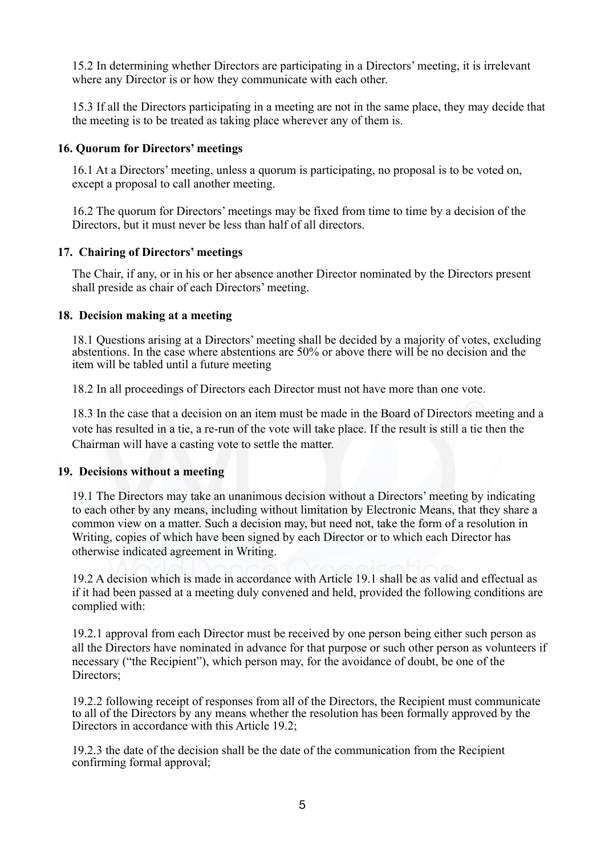15.2 In determining whether Directors are participating in a Directors' meeting, it is irrelevant where any Director is or how they communicate with each other.

15.3 If all the Directors participating in a meeting are not in the same place, they may decide that the meeting is to be treated as taking place wherever any of them is.

### **16. Quorum for Directors' meetings**

16.1 At a Directors' meeting, unless a quorum is participating, no proposal is to be voted on, except a proposal to call another meeting.

16.2 The quorum for Directors' meetings may be fixed from time to time by a decision of the Directors, but it must never be less than half of all directors.

### **17. Chairing of Directors' meetings**

The Chair, if any, or in his or her absence another Director nominated by the Directors present shall preside as chair of each Directors' meeting.

### **18. Decision making at a meeting**

18.1 Questions arising at a Directors' meeting shall be decided by a majority of votes, excluding abstentions. In the case where abstentions are 50% or above there will be no decision and the item will be tabled until a future meeting

18.2 In all proceedings of Directors each Director must not have more than one vote.

18.3 In the case that a decision on an item must be made in the Board of Directors meeting and a vote has resulted in a tie, a re-run of the vote will take place. If the result is still a tie then the Chairman will have a casting vote to settle the matter.

### **19. Decisions without a meeting**

19.1 The Directors may take an unanimous decision without a Directors' meeting by indicating to each other by any means, including without limitation by Electronic Means, that they share a common view on a matter. Such a decision may, but need not, take the form of a resolution in Writing, copies of which have been signed by each Director or to which each Director has otherwise indicated agreement in Writing.

19.2 A decision which is made in accordance with Article 19.1 shall be as valid and effectual as if it had been passed at a meeting duly convened and held, provided the following conditions are complied with:

19.2.1 approval from each Director must be received by one person being either such person as all the Directors have nominated in advance for that purpose or such other person as volunteers if necessary ("the Recipient"), which person may, for the avoidance of doubt, be one of the Directors:

19.2.2 following receipt of responses from all of the Directors, the Recipient must communicate to all of the Directors by any means whether the resolution has been formally approved by the Directors in accordance with this Article 19.2;

19.2.3 the date of the decision shall be the date of the communication from the Recipient confirming formal approval;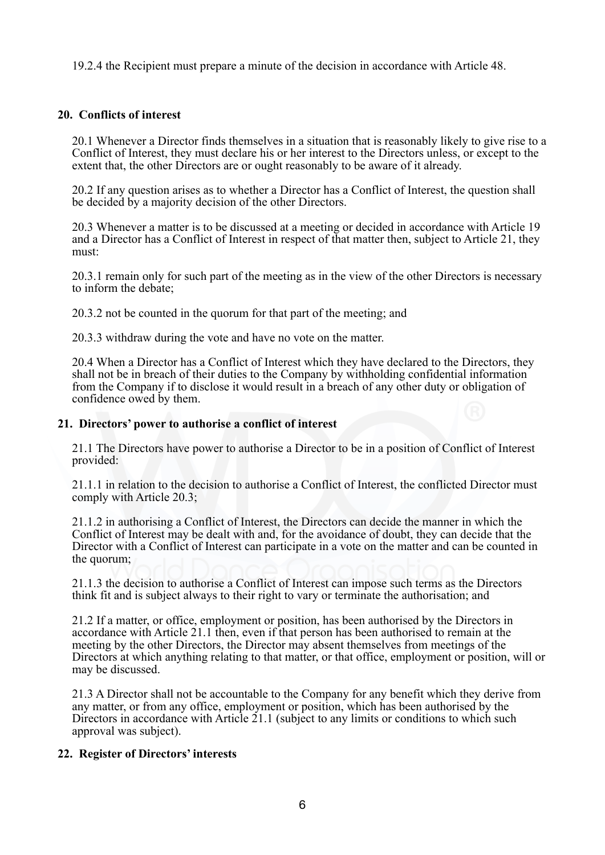19.2.4 the Recipient must prepare a minute of the decision in accordance with Article 48.

#### **20. Conflicts of interest**

20.1 Whenever a Director finds themselves in a situation that is reasonably likely to give rise to a Conflict of Interest, they must declare his or her interest to the Directors unless, or except to the extent that, the other Directors are or ought reasonably to be aware of it already.

20.2 If any question arises as to whether a Director has a Conflict of Interest, the question shall be decided by a majority decision of the other Directors.

20.3 Whenever a matter is to be discussed at a meeting or decided in accordance with Article 19 and a Director has a Conflict of Interest in respect of that matter then, subject to Article 21, they must:

20.3.1 remain only for such part of the meeting as in the view of the other Directors is necessary to inform the debate;

20.3.2 not be counted in the quorum for that part of the meeting; and

20.3.3 withdraw during the vote and have no vote on the matter.

20.4 When a Director has a Conflict of Interest which they have declared to the Directors, they shall not be in breach of their duties to the Company by withholding confidential information from the Company if to disclose it would result in a breach of any other duty or obligation of confidence owed by them.

#### **21. Directors' power to authorise a conflict of interest**

21.1 The Directors have power to authorise a Director to be in a position of Conflict of Interest provided:

21.1.1 in relation to the decision to authorise a Conflict of Interest, the conflicted Director must comply with Article 20.3;

21.1.2 in authorising a Conflict of Interest, the Directors can decide the manner in which the Conflict of Interest may be dealt with and, for the avoidance of doubt, they can decide that the Director with a Conflict of Interest can participate in a vote on the matter and can be counted in the quorum;

21.1.3 the decision to authorise a Conflict of Interest can impose such terms as the Directors think fit and is subject always to their right to vary or terminate the authorisation; and

21.2 If a matter, or office, employment or position, has been authorised by the Directors in accordance with Article 21.1 then, even if that person has been authorised to remain at the meeting by the other Directors, the Director may absent themselves from meetings of the Directors at which anything relating to that matter, or that office, employment or position, will or may be discussed.

21.3 A Director shall not be accountable to the Company for any benefit which they derive from any matter, or from any office, employment or position, which has been authorised by the Directors in accordance with Article 21.1 (subject to any limits or conditions to which such approval was subject).

#### **22. Register of Directors' interests**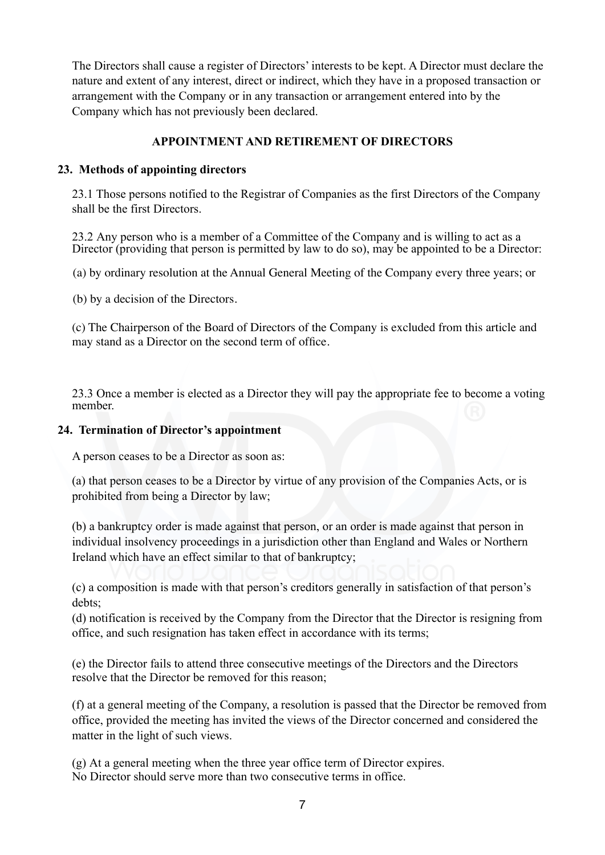The Directors shall cause a register of Directors' interests to be kept. A Director must declare the nature and extent of any interest, direct or indirect, which they have in a proposed transaction or arrangement with the Company or in any transaction or arrangement entered into by the Company which has not previously been declared.

### **APPOINTMENT AND RETIREMENT OF DIRECTORS**

#### **23. Methods of appointing directors**

23.1 Those persons notified to the Registrar of Companies as the first Directors of the Company shall be the first Directors.

23.2 Any person who is a member of a Committee of the Company and is willing to act as a Director (providing that person is permitted by law to do so), may be appointed to be a Director:

(a) by ordinary resolution at the Annual General Meeting of the Company every three years; or

(b) by a decision of the Directors.

(c) The Chairperson of the Board of Directors of the Company is excluded from this article and may stand as a Director on the second term of office.

23.3 Once a member is elected as a Director they will pay the appropriate fee to become a voting member.

#### **24. Termination of Director's appointment**

A person ceases to be a Director as soon as:

(a) that person ceases to be a Director by virtue of any provision of the Companies Acts, or is prohibited from being a Director by law;

(b) a bankruptcy order is made against that person, or an order is made against that person in individual insolvency proceedings in a jurisdiction other than England and Wales or Northern Ireland which have an effect similar to that of bankruptcy;

(c) a composition is made with that person's creditors generally in satisfaction of that person's debts;

(d) notification is received by the Company from the Director that the Director is resigning from office, and such resignation has taken effect in accordance with its terms;

(e) the Director fails to attend three consecutive meetings of the Directors and the Directors resolve that the Director be removed for this reason;

(f) at a general meeting of the Company, a resolution is passed that the Director be removed from office, provided the meeting has invited the views of the Director concerned and considered the matter in the light of such views.

(g) At a general meeting when the three year office term of Director expires. No Director should serve more than two consecutive terms in office.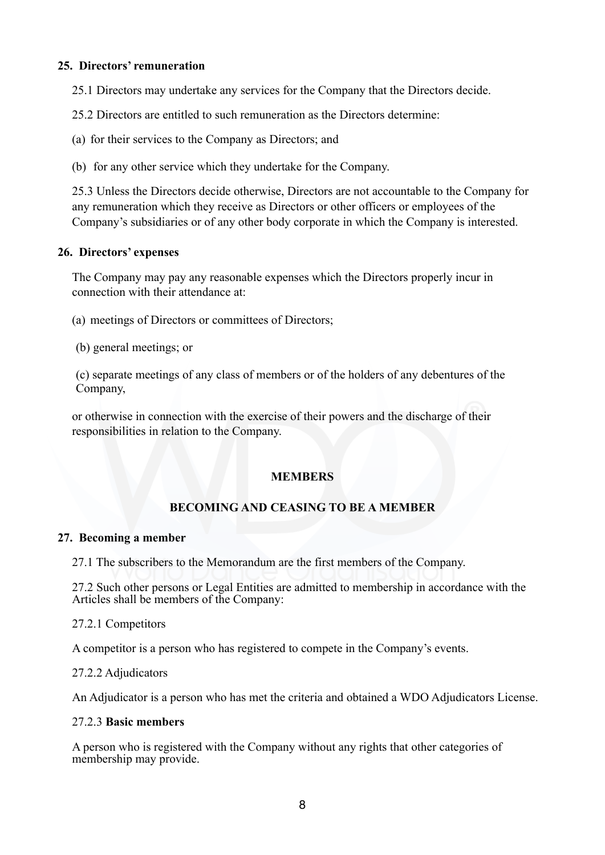#### **25. Directors' remuneration**

25.1 Directors may undertake any services for the Company that the Directors decide.

25.2 Directors are entitled to such remuneration as the Directors determine:

(a) for their services to the Company as Directors; and

(b) for any other service which they undertake for the Company.

25.3 Unless the Directors decide otherwise, Directors are not accountable to the Company for any remuneration which they receive as Directors or other officers or employees of the Company's subsidiaries or of any other body corporate in which the Company is interested.

#### **26. Directors' expenses**

The Company may pay any reasonable expenses which the Directors properly incur in connection with their attendance at:

(a) meetings of Directors or committees of Directors;

(b) general meetings; or

(c) separate meetings of any class of members or of the holders of any debentures of the Company,

or otherwise in connection with the exercise of their powers and the discharge of their responsibilities in relation to the Company.

### **MEMBERS**

# **BECOMING AND CEASING TO BE A MEMBER**

#### **27. Becoming a member**

27.1 The subscribers to the Memorandum are the first members of the Company.

27.2 Such other persons or Legal Entities are admitted to membership in accordance with the Articles shall be members of the Company:

#### 27.2.1 Competitors

A competitor is a person who has registered to compete in the Company's events.

#### 27.2.2 Adjudicators

An Adjudicator is a person who has met the criteria and obtained a WDO Adjudicators License.

#### 27.2.3 **Basic members**

A person who is registered with the Company without any rights that other categories of membership may provide.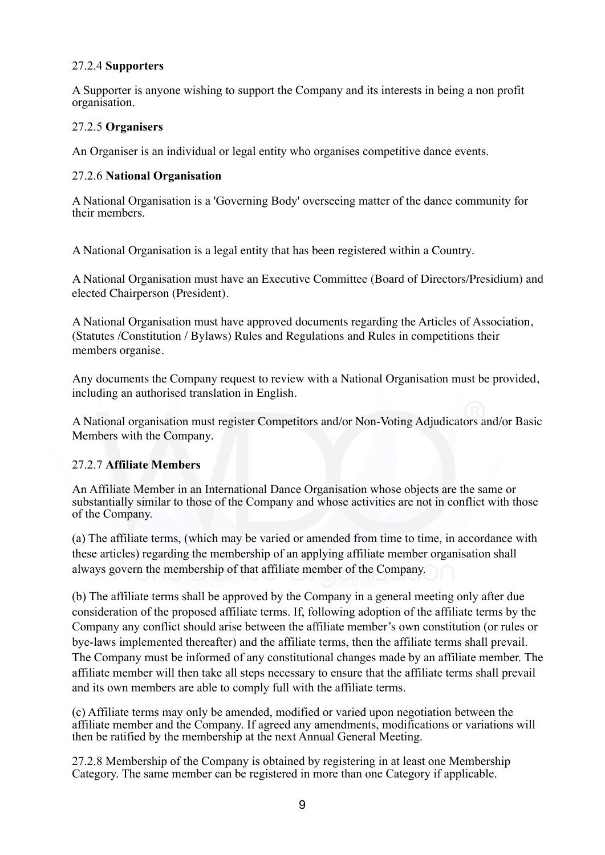#### 27.2.4 **Supporters**

A Supporter is anyone wishing to support the Company and its interests in being a non profit organisation.

#### 27.2.5 **Organisers**

An Organiser is an individual or legal entity who organises competitive dance events.

#### 27.2.6 **National Organisation**

A National Organisation is a 'Governing Body' overseeing matter of the dance community for their members.

A National Organisation is a legal entity that has been registered within a Country.

 A National Organisation must have an Executive Committee (Board of Directors/Presidium) and elected Chairperson (President).

 A National Organisation must have approved documents regarding the Articles of Association, (Statutes /Constitution / Bylaws) Rules and Regulations and Rules in competitions their members organise.

 Any documents the Company request to review with a National Organisation must be provided, including an authorised translation in English.

 A National organisation must register Competitors and/or Non-Voting Adjudicators and/or Basic Members with the Company.

#### 27.2.7 **Affiliate Members**

An Affiliate Member in an International Dance Organisation whose objects are the same or substantially similar to those of the Company and whose activities are not in conflict with those of the Company.

(a) The affiliate terms, (which may be varied or amended from time to time, in accordance with these articles) regarding the membership of an applying affiliate member organisation shall always govern the membership of that affiliate member of the Company.

(b) The affiliate terms shall be approved by the Company in a general meeting only after due consideration of the proposed affiliate terms. If, following adoption of the affiliate terms by the Company any conflict should arise between the affiliate member's own constitution (or rules or bye-laws implemented thereafter) and the affiliate terms, then the affiliate terms shall prevail. The Company must be informed of any constitutional changes made by an affiliate member. The affiliate member will then take all steps necessary to ensure that the affiliate terms shall prevail and its own members are able to comply full with the affiliate terms.

(c) Affiliate terms may only be amended, modified or varied upon negotiation between the affiliate member and the Company. If agreed any amendments, modifications or variations will then be ratified by the membership at the next Annual General Meeting.

27.2.8 Membership of the Company is obtained by registering in at least one Membership Category. The same member can be registered in more than one Category if applicable.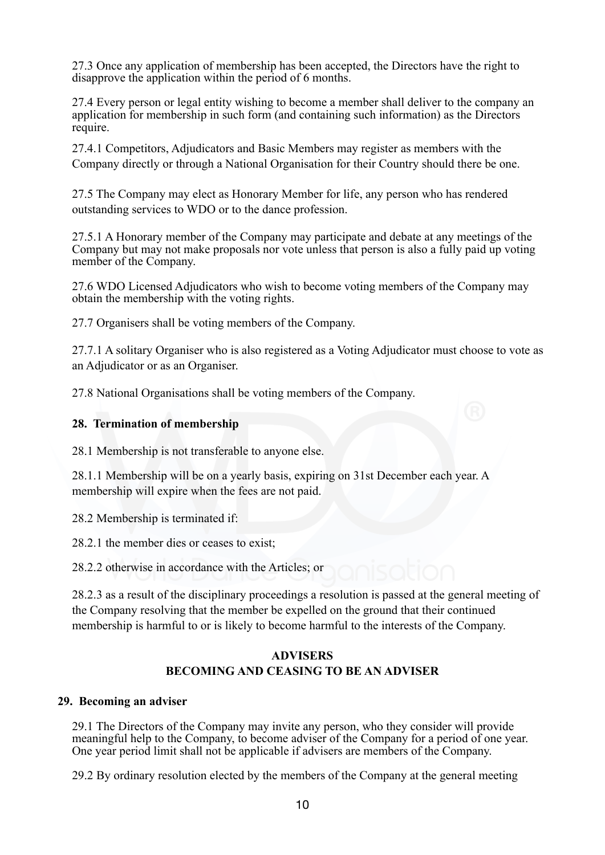27.3 Once any application of membership has been accepted, the Directors have the right to disapprove the application within the period of 6 months.

27.4 Every person or legal entity wishing to become a member shall deliver to the company an application for membership in such form (and containing such information) as the Directors require.

27.4.1 Competitors, Adjudicators and Basic Members may register as members with the Company directly or through a National Organisation for their Country should there be one.

27.5 The Company may elect as Honorary Member for life, any person who has rendered outstanding services to WDO or to the dance profession.

27.5.1 A Honorary member of the Company may participate and debate at any meetings of the Company but may not make proposals nor vote unless that person is also a fully paid up voting member of the Company.

27.6 WDO Licensed Adjudicators who wish to become voting members of the Company may obtain the membership with the voting rights.

27.7 Organisers shall be voting members of the Company.

27.7.1 A solitary Organiser who is also registered as a Voting Adjudicator must choose to vote as an Adjudicator or as an Organiser.

27.8 National Organisations shall be voting members of the Company.

#### **28. Termination of membership**

28.1 Membership is not transferable to anyone else.

28.1.1 Membership will be on a yearly basis, expiring on 31st December each year. A membership will expire when the fees are not paid.

28.2 Membership is terminated if:

28.2.1 the member dies or ceases to exist;

28.2.2 otherwise in accordance with the Articles; or

28.2.3 as a result of the disciplinary proceedings a resolution is passed at the general meeting of the Company resolving that the member be expelled on the ground that their continued membership is harmful to or is likely to become harmful to the interests of the Company.

# **ADVISERS BECOMING AND CEASING TO BE AN ADVISER**

#### **29. Becoming an adviser**

29.1 The Directors of the Company may invite any person, who they consider will provide meaningful help to the Company, to become adviser of the Company for a period of one year. One year period limit shall not be applicable if advisers are members of the Company.

29.2 By ordinary resolution elected by the members of the Company at the general meeting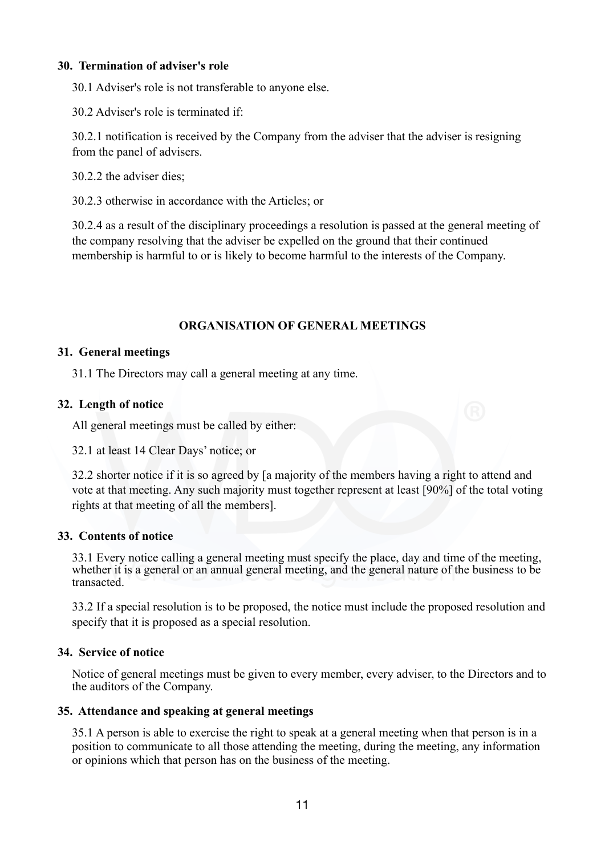#### **30. Termination of adviser's role**

30.1 Adviser's role is not transferable to anyone else.

30.2 Adviser's role is terminated if:

30.2.1 notification is received by the Company from the adviser that the adviser is resigning from the panel of advisers.

30.2.2 the adviser dies;

30.2.3 otherwise in accordance with the Articles; or

30.2.4 as a result of the disciplinary proceedings a resolution is passed at the general meeting of the company resolving that the adviser be expelled on the ground that their continued membership is harmful to or is likely to become harmful to the interests of the Company.

#### **ORGANISATION OF GENERAL MEETINGS**

#### **31. General meetings**

31.1 The Directors may call a general meeting at any time.

#### **32. Length of notice**

All general meetings must be called by either:

32.1 at least 14 Clear Days' notice; or

32.2 shorter notice if it is so agreed by [a majority of the members having a right to attend and vote at that meeting. Any such majority must together represent at least [90%] of the total voting rights at that meeting of all the members].

### **33. Contents of notice**

33.1 Every notice calling a general meeting must specify the place, day and time of the meeting, whether it is a general or an annual general meeting, and the general nature of the business to be transacted.

33.2 If a special resolution is to be proposed, the notice must include the proposed resolution and specify that it is proposed as a special resolution.

#### **34. Service of notice**

Notice of general meetings must be given to every member, every adviser, to the Directors and to the auditors of the Company.

#### **35. Attendance and speaking at general meetings**

35.1 A person is able to exercise the right to speak at a general meeting when that person is in a position to communicate to all those attending the meeting, during the meeting, any information or opinions which that person has on the business of the meeting.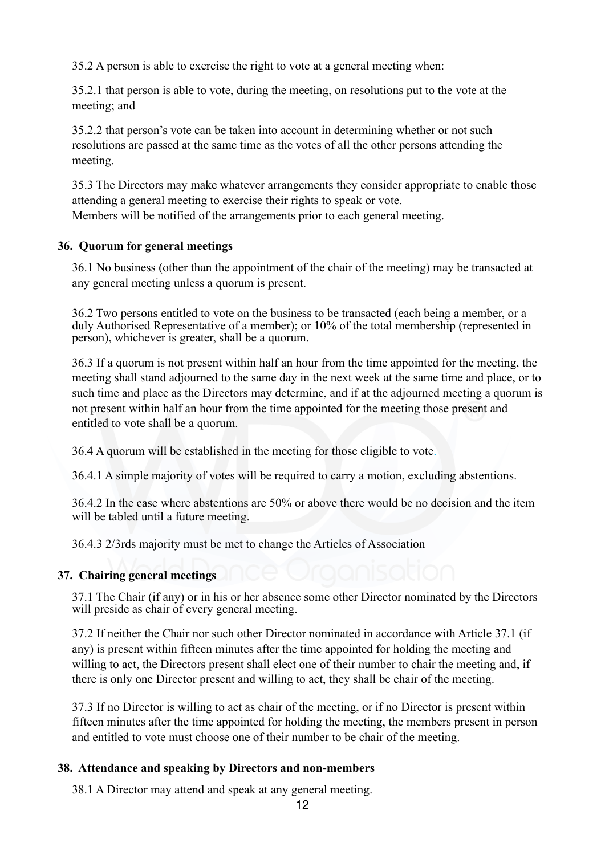35.2 A person is able to exercise the right to vote at a general meeting when:

35.2.1 that person is able to vote, during the meeting, on resolutions put to the vote at the meeting; and

35.2.2 that person's vote can be taken into account in determining whether or not such resolutions are passed at the same time as the votes of all the other persons attending the meeting.

35.3 The Directors may make whatever arrangements they consider appropriate to enable those attending a general meeting to exercise their rights to speak or vote. Members will be notified of the arrangements prior to each general meeting.

# **36. Quorum for general meetings**

36.1 No business (other than the appointment of the chair of the meeting) may be transacted at any general meeting unless a quorum is present.

36.2 Two persons entitled to vote on the business to be transacted (each being a member, or a duly Authorised Representative of a member); or 10% of the total membership (represented in person), whichever is greater, shall be a quorum.

36.3 If a quorum is not present within half an hour from the time appointed for the meeting, the meeting shall stand adjourned to the same day in the next week at the same time and place, or to such time and place as the Directors may determine, and if at the adjourned meeting a quorum is not present within half an hour from the time appointed for the meeting those present and entitled to vote shall be a quorum.

36.4 A quorum will be established in the meeting for those eligible to vote.

36.4.1 A simple majority of votes will be required to carry a motion, excluding abstentions.

36.4.2 In the case where abstentions are 50% or above there would be no decision and the item will be tabled until a future meeting.

36.4.3 2/3rds majority must be met to change the Articles of Association

### **37. Chairing general meetings**

37.1 The Chair (if any) or in his or her absence some other Director nominated by the Directors will preside as chair of every general meeting.

37.2 If neither the Chair nor such other Director nominated in accordance with Article 37.1 (if any) is present within fifteen minutes after the time appointed for holding the meeting and willing to act, the Directors present shall elect one of their number to chair the meeting and, if there is only one Director present and willing to act, they shall be chair of the meeting.

37.3 If no Director is willing to act as chair of the meeting, or if no Director is present within fifteen minutes after the time appointed for holding the meeting, the members present in person and entitled to vote must choose one of their number to be chair of the meeting.

# **38. Attendance and speaking by Directors and non-members**

38.1 A Director may attend and speak at any general meeting.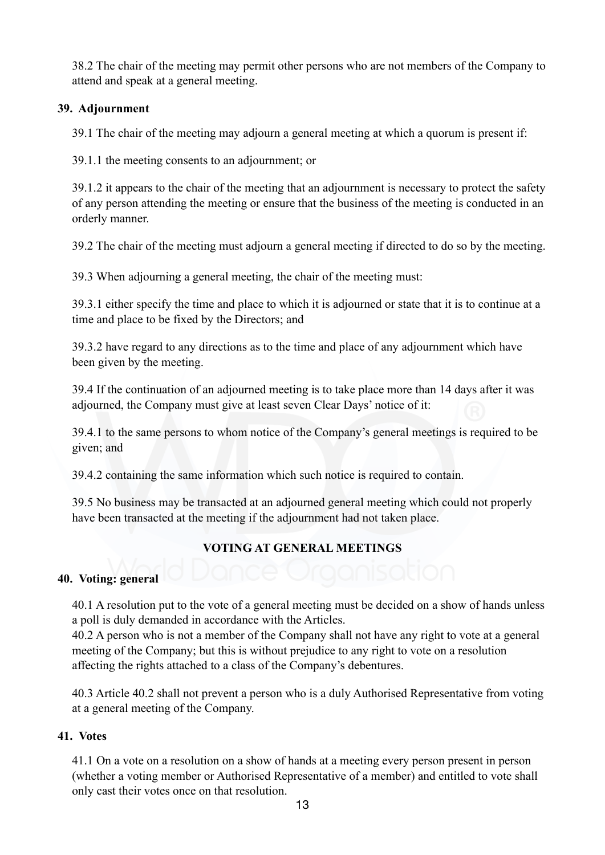38.2 The chair of the meeting may permit other persons who are not members of the Company to attend and speak at a general meeting.

#### **39. Adjournment**

39.1 The chair of the meeting may adjourn a general meeting at which a quorum is present if:

39.1.1 the meeting consents to an adjournment; or

39.1.2 it appears to the chair of the meeting that an adjournment is necessary to protect the safety of any person attending the meeting or ensure that the business of the meeting is conducted in an orderly manner.

39.2 The chair of the meeting must adjourn a general meeting if directed to do so by the meeting.

39.3 When adjourning a general meeting, the chair of the meeting must:

39.3.1 either specify the time and place to which it is adjourned or state that it is to continue at a time and place to be fixed by the Directors; and

39.3.2 have regard to any directions as to the time and place of any adjournment which have been given by the meeting.

39.4 If the continuation of an adjourned meeting is to take place more than 14 days after it was adjourned, the Company must give at least seven Clear Days' notice of it:

39.4.1 to the same persons to whom notice of the Company's general meetings is required to be given; and

39.4.2 containing the same information which such notice is required to contain.

39.5 No business may be transacted at an adjourned general meeting which could not properly have been transacted at the meeting if the adjournment had not taken place.

# **VOTING AT GENERAL MEETINGS**

#### **40. Voting: general**

40.1 A resolution put to the vote of a general meeting must be decided on a show of hands unless a poll is duly demanded in accordance with the Articles.

40.2 A person who is not a member of the Company shall not have any right to vote at a general meeting of the Company; but this is without prejudice to any right to vote on a resolution affecting the rights attached to a class of the Company's debentures.

40.3 Article 40.2 shall not prevent a person who is a duly Authorised Representative from voting at a general meeting of the Company.

### **41. Votes**

41.1 On a vote on a resolution on a show of hands at a meeting every person present in person (whether a voting member or Authorised Representative of a member) and entitled to vote shall only cast their votes once on that resolution.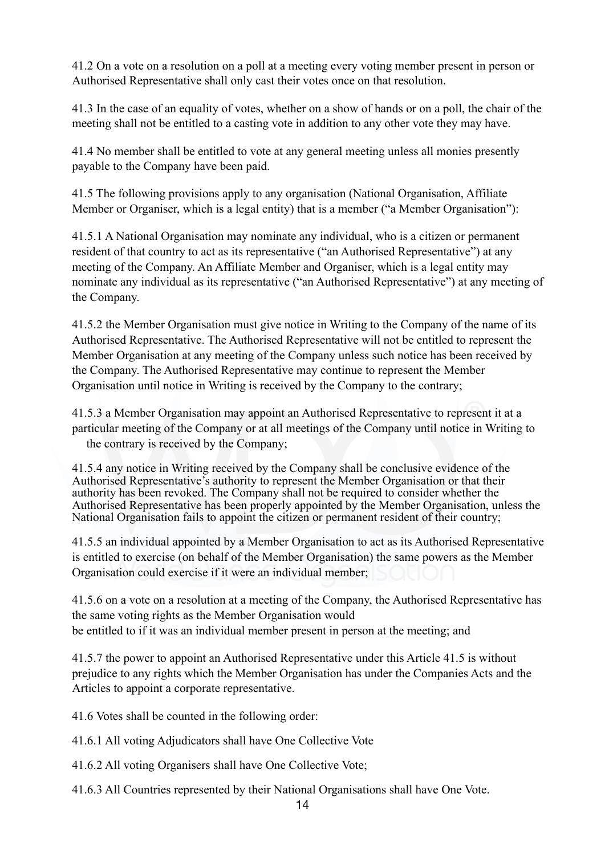41.2 On a vote on a resolution on a poll at a meeting every voting member present in person or Authorised Representative shall only cast their votes once on that resolution.

41.3 In the case of an equality of votes, whether on a show of hands or on a poll, the chair of the meeting shall not be entitled to a casting vote in addition to any other vote they may have.

41.4 No member shall be entitled to vote at any general meeting unless all monies presently payable to the Company have been paid.

41.5 The following provisions apply to any organisation (National Organisation, Affiliate Member or Organiser, which is a legal entity) that is a member ("a Member Organisation"):

41.5.1 A National Organisation may nominate any individual, who is a citizen or permanent resident of that country to act as its representative ("an Authorised Representative") at any meeting of the Company. An Affiliate Member and Organiser, which is a legal entity may nominate any individual as its representative ("an Authorised Representative") at any meeting of the Company.

41.5.2 the Member Organisation must give notice in Writing to the Company of the name of its Authorised Representative. The Authorised Representative will not be entitled to represent the Member Organisation at any meeting of the Company unless such notice has been received by the Company. The Authorised Representative may continue to represent the Member Organisation until notice in Writing is received by the Company to the contrary;

41.5.3 a Member Organisation may appoint an Authorised Representative to represent it at a particular meeting of the Company or at all meetings of the Company until notice in Writing to the contrary is received by the Company;

41.5.4 any notice in Writing received by the Company shall be conclusive evidence of the Authorised Representative's authority to represent the Member Organisation or that their authority has been revoked. The Company shall not be required to consider whether the Authorised Representative has been properly appointed by the Member Organisation, unless the National Organisation fails to appoint the citizen or permanent resident of their country;

41.5.5 an individual appointed by a Member Organisation to act as its Authorised Representative is entitled to exercise (on behalf of the Member Organisation) the same powers as the Member Organisation could exercise if it were an individual member;

41.5.6 on a vote on a resolution at a meeting of the Company, the Authorised Representative has the same voting rights as the Member Organisation would be entitled to if it was an individual member present in person at the meeting; and

41.5.7 the power to appoint an Authorised Representative under this Article 41.5 is without prejudice to any rights which the Member Organisation has under the Companies Acts and the Articles to appoint a corporate representative.

41.6 Votes shall be counted in the following order:

- 41.6.1 All voting Adjudicators shall have One Collective Vote
- 41.6.2 All voting Organisers shall have One Collective Vote;
- 41.6.3 All Countries represented by their National Organisations shall have One Vote.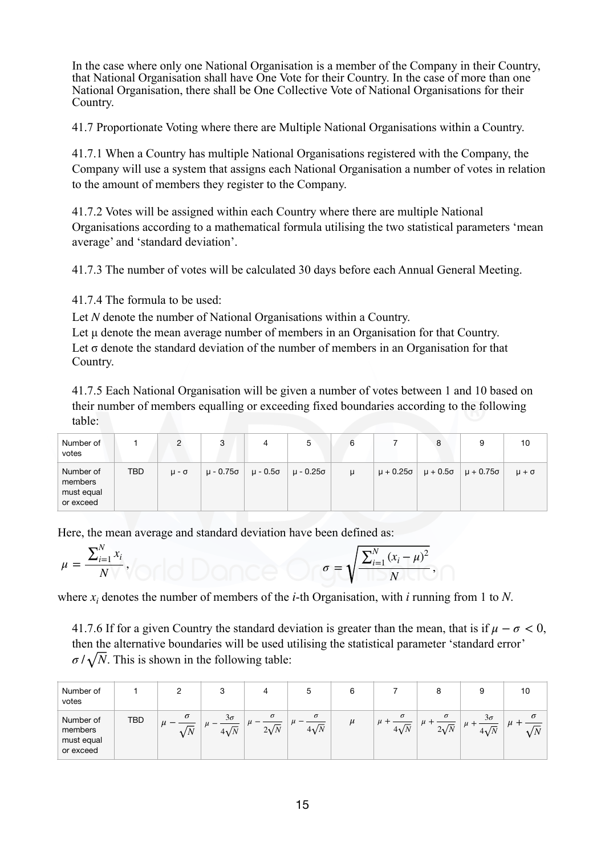In the case where only one National Organisation is a member of the Company in their Country, that National Organisation shall have One Vote for their Country. In the case of more than one National Organisation, there shall be One Collective Vote of National Organisations for their Country.

41.7 Proportionate Voting where there are Multiple National Organisations within a Country.

41.7.1 When a Country has multiple National Organisations registered with the Company, the Company will use a system that assigns each National Organisation a number of votes in relation to the amount of members they register to the Company.

41.7.2 Votes will be assigned within each Country where there are multiple National Organisations according to a mathematical formula utilising the two statistical parameters 'mean average' and 'standard deviation'.

41.7.3 The number of votes will be calculated 30 days before each Annual General Meeting.

41.7.4 The formula to be used:

Let N denote the number of National Organisations within a Country.

Let u denote the mean average number of members in an Organisation for that Country. Let  $\sigma$  denote the standard deviation of the number of members in an Organisation for that Country.

41.7.5 Each National Organisation will be given a number of votes between 1 and 10 based on their number of members equalling or exceeding fixed boundaries according to the following table:

| Number of<br>votes                              |            |                  | 3         | 4 | ა                    | 6 |                    | 8 | 9                                    | 10             |
|-------------------------------------------------|------------|------------------|-----------|---|----------------------|---|--------------------|---|--------------------------------------|----------------|
| Number of<br>members<br>must equal<br>or exceed | <b>TBD</b> | $\mu$ - $\sigma$ | μ - 0.75σ |   | μ - 0.5σ   μ - 0.25σ | u | $\mu + 0.25\sigma$ |   | $\mu + 0.5\sigma$ $\mu + 0.75\sigma$ | $\mu + \sigma$ |

Here, the mean average and standard deviation have been defined as:

$$
\mu = \frac{\sum_{i=1}^{N} x_i}{N \vee \sqrt{C \cdot \log \log \log C}} \quad \text{or} \quad \sigma = \sqrt{\frac{\sum_{i=1}^{N} (x_i - \mu)^2}{N \cdot \log \log \log C}}.
$$

where  $x_i$  denotes the number of members of the *i*-th Organisation, with *i* running from 1 to N.

41.7.6 If for a given Country the standard deviation is greater than the mean, that is if  $\mu - \sigma < 0$ , then the alternative boundaries will be used utilising the statistical parameter 'standard error'  $\sigma / \sqrt{N}$ . This is shown in the following table:

| Number of<br>votes                              |            |                             |                          | 4                       |                         |                         |                         |                | 10 |
|-------------------------------------------------|------------|-----------------------------|--------------------------|-------------------------|-------------------------|-------------------------|-------------------------|----------------|----|
| Number of<br>members<br>must equal<br>or exceed | <b>TBD</b> | $\sigma$<br>и<br>$\sqrt{N}$ | $3\sigma$<br>$4\sqrt{N}$ | $\sigma$<br>$2\sqrt{N}$ | $\sigma$<br>$4\sqrt{N}$ | $\sigma$<br>$4\sqrt{N}$ | $\sigma$<br>$2\sqrt{N}$ | $3\sigma$<br>. | σ  |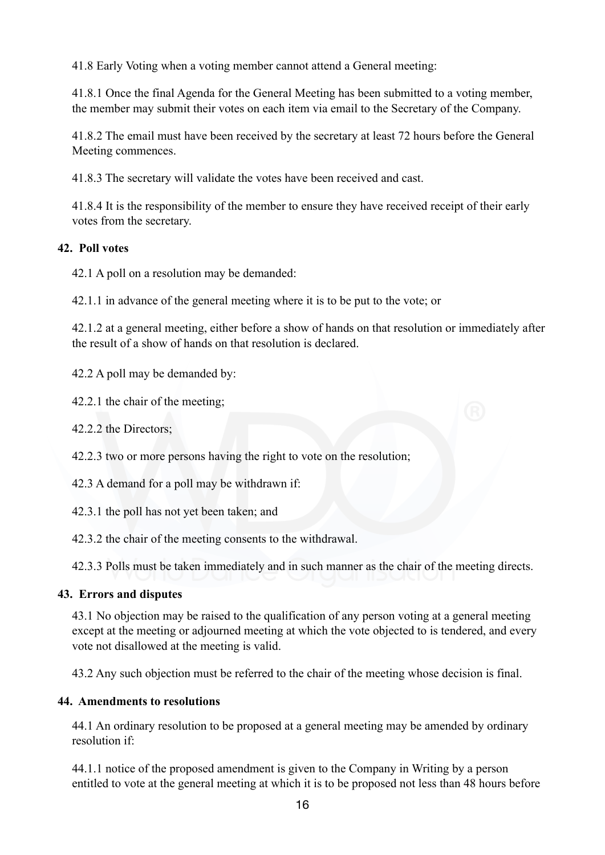41.8 Early Voting when a voting member cannot attend a General meeting:

41.8.1 Once the final Agenda for the General Meeting has been submitted to a voting member, the member may submit their votes on each item via email to the Secretary of the Company.

41.8.2 The email must have been received by the secretary at least 72 hours before the General Meeting commences.

41.8.3 The secretary will validate the votes have been received and cast.

41.8.4 It is the responsibility of the member to ensure they have received receipt of their early votes from the secretary.

# **42. Poll votes**

42.1 A poll on a resolution may be demanded:

42.1.1 in advance of the general meeting where it is to be put to the vote; or

42.1.2 at a general meeting, either before a show of hands on that resolution or immediately after the result of a show of hands on that resolution is declared.

42.2 A poll may be demanded by:

42.2.1 the chair of the meeting;

42.2.2 the Directors;

42.2.3 two or more persons having the right to vote on the resolution;

42.3 A demand for a poll may be withdrawn if:

42.3.1 the poll has not yet been taken; and

42.3.2 the chair of the meeting consents to the withdrawal.

42.3.3 Polls must be taken immediately and in such manner as the chair of the meeting directs.

# **43. Errors and disputes**

43.1 No objection may be raised to the qualification of any person voting at a general meeting except at the meeting or adjourned meeting at which the vote objected to is tendered, and every vote not disallowed at the meeting is valid.

43.2 Any such objection must be referred to the chair of the meeting whose decision is final.

### **44. Amendments to resolutions**

44.1 An ordinary resolution to be proposed at a general meeting may be amended by ordinary resolution if:

44.1.1 notice of the proposed amendment is given to the Company in Writing by a person entitled to vote at the general meeting at which it is to be proposed not less than 48 hours before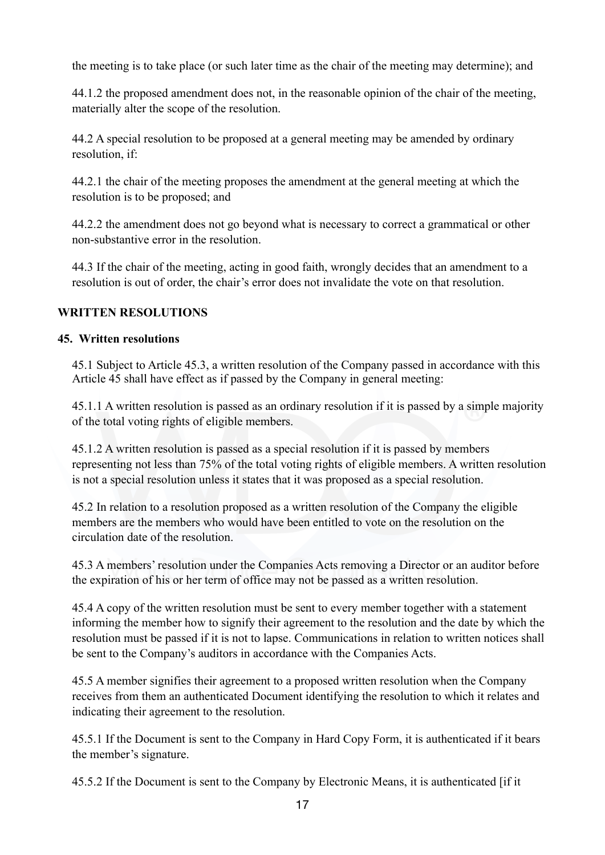the meeting is to take place (or such later time as the chair of the meeting may determine); and

44.1.2 the proposed amendment does not, in the reasonable opinion of the chair of the meeting, materially alter the scope of the resolution.

44.2 A special resolution to be proposed at a general meeting may be amended by ordinary resolution, if:

44.2.1 the chair of the meeting proposes the amendment at the general meeting at which the resolution is to be proposed; and

44.2.2 the amendment does not go beyond what is necessary to correct a grammatical or other non-substantive error in the resolution.

44.3 If the chair of the meeting, acting in good faith, wrongly decides that an amendment to a resolution is out of order, the chair's error does not invalidate the vote on that resolution.

# **WRITTEN RESOLUTIONS**

### **45. Written resolutions**

45.1 Subject to Article 45.3, a written resolution of the Company passed in accordance with this Article 45 shall have effect as if passed by the Company in general meeting:

45.1.1 A written resolution is passed as an ordinary resolution if it is passed by a simple majority of the total voting rights of eligible members.

45.1.2 A written resolution is passed as a special resolution if it is passed by members representing not less than 75% of the total voting rights of eligible members. A written resolution is not a special resolution unless it states that it was proposed as a special resolution.

45.2 In relation to a resolution proposed as a written resolution of the Company the eligible members are the members who would have been entitled to vote on the resolution on the circulation date of the resolution.

45.3 A members' resolution under the Companies Acts removing a Director or an auditor before the expiration of his or her term of office may not be passed as a written resolution.

45.4 A copy of the written resolution must be sent to every member together with a statement informing the member how to signify their agreement to the resolution and the date by which the resolution must be passed if it is not to lapse. Communications in relation to written notices shall be sent to the Company's auditors in accordance with the Companies Acts.

45.5 A member signifies their agreement to a proposed written resolution when the Company receives from them an authenticated Document identifying the resolution to which it relates and indicating their agreement to the resolution.

45.5.1 If the Document is sent to the Company in Hard Copy Form, it is authenticated if it bears the member's signature.

45.5.2 If the Document is sent to the Company by Electronic Means, it is authenticated [if it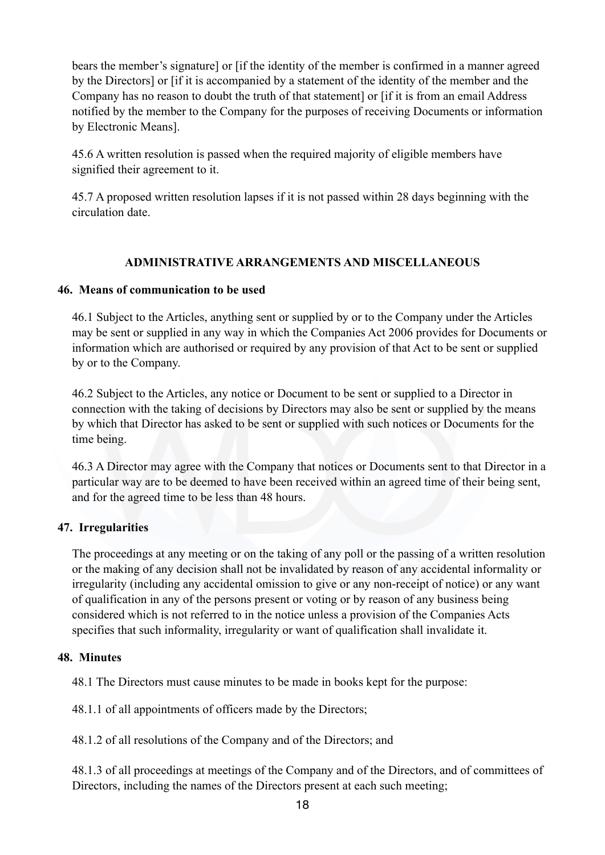bears the member's signature] or [if the identity of the member is confirmed in a manner agreed by the Directors] or [if it is accompanied by a statement of the identity of the member and the Company has no reason to doubt the truth of that statement] or [if it is from an email Address notified by the member to the Company for the purposes of receiving Documents or information by Electronic Means].

45.6 A written resolution is passed when the required majority of eligible members have signified their agreement to it.

45.7 A proposed written resolution lapses if it is not passed within 28 days beginning with the circulation date.

# **ADMINISTRATIVE ARRANGEMENTS AND MISCELLANEOUS**

### **46. Means of communication to be used**

46.1 Subject to the Articles, anything sent or supplied by or to the Company under the Articles may be sent or supplied in any way in which the Companies Act 2006 provides for Documents or information which are authorised or required by any provision of that Act to be sent or supplied by or to the Company.

46.2 Subject to the Articles, any notice or Document to be sent or supplied to a Director in connection with the taking of decisions by Directors may also be sent or supplied by the means by which that Director has asked to be sent or supplied with such notices or Documents for the time being.

46.3 A Director may agree with the Company that notices or Documents sent to that Director in a particular way are to be deemed to have been received within an agreed time of their being sent, and for the agreed time to be less than 48 hours.

### **47. Irregularities**

The proceedings at any meeting or on the taking of any poll or the passing of a written resolution or the making of any decision shall not be invalidated by reason of any accidental informality or irregularity (including any accidental omission to give or any non-receipt of notice) or any want of qualification in any of the persons present or voting or by reason of any business being considered which is not referred to in the notice unless a provision of the Companies Acts specifies that such informality, irregularity or want of qualification shall invalidate it.

### **48. Minutes**

48.1 The Directors must cause minutes to be made in books kept for the purpose:

48.1.1 of all appointments of officers made by the Directors;

48.1.2 of all resolutions of the Company and of the Directors; and

48.1.3 of all proceedings at meetings of the Company and of the Directors, and of committees of Directors, including the names of the Directors present at each such meeting;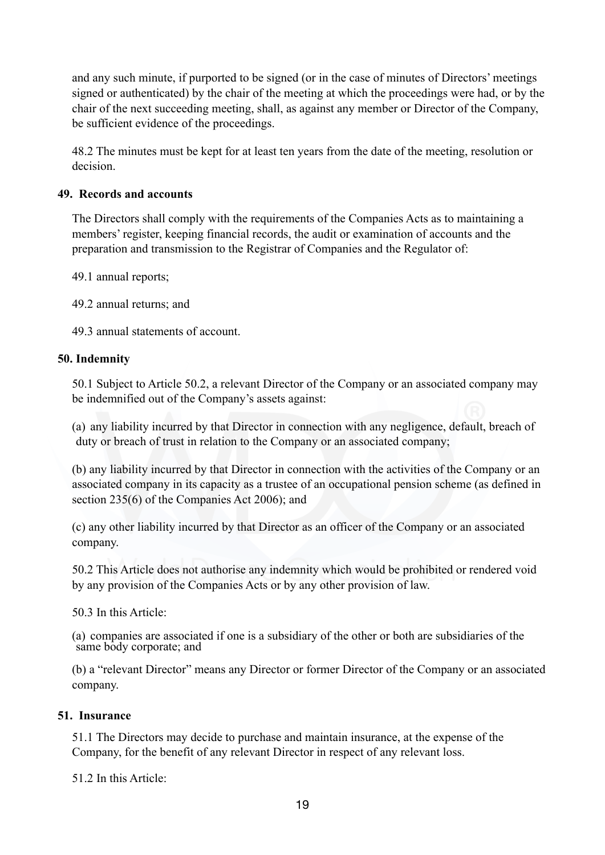and any such minute, if purported to be signed (or in the case of minutes of Directors' meetings signed or authenticated) by the chair of the meeting at which the proceedings were had, or by the chair of the next succeeding meeting, shall, as against any member or Director of the Company, be sufficient evidence of the proceedings.

48.2 The minutes must be kept for at least ten years from the date of the meeting, resolution or decision.

# **49. Records and accounts**

The Directors shall comply with the requirements of the Companies Acts as to maintaining a members' register, keeping financial records, the audit or examination of accounts and the preparation and transmission to the Registrar of Companies and the Regulator of:

49.1 annual reports;

49.2 annual returns; and

49.3 annual statements of account.

# **50. Indemnity**

50.1 Subject to Article 50.2, a relevant Director of the Company or an associated company may be indemnified out of the Company's assets against:

(a) any liability incurred by that Director in connection with any negligence, default, breach of duty or breach of trust in relation to the Company or an associated company;

(b) any liability incurred by that Director in connection with the activities of the Company or an associated company in its capacity as a trustee of an occupational pension scheme (as defined in section 235(6) of the Companies Act 2006); and

(c) any other liability incurred by that Director as an officer of the Company or an associated company.

50.2 This Article does not authorise any indemnity which would be prohibited or rendered void by any provision of the Companies Acts or by any other provision of law.

50.3 In this Article:

(a) companies are associated if one is a subsidiary of the other or both are subsidiaries of the same body corporate; and

(b) a "relevant Director" means any Director or former Director of the Company or an associated company.

### **51. Insurance**

51.1 The Directors may decide to purchase and maintain insurance, at the expense of the Company, for the benefit of any relevant Director in respect of any relevant loss.

51.2 In this Article: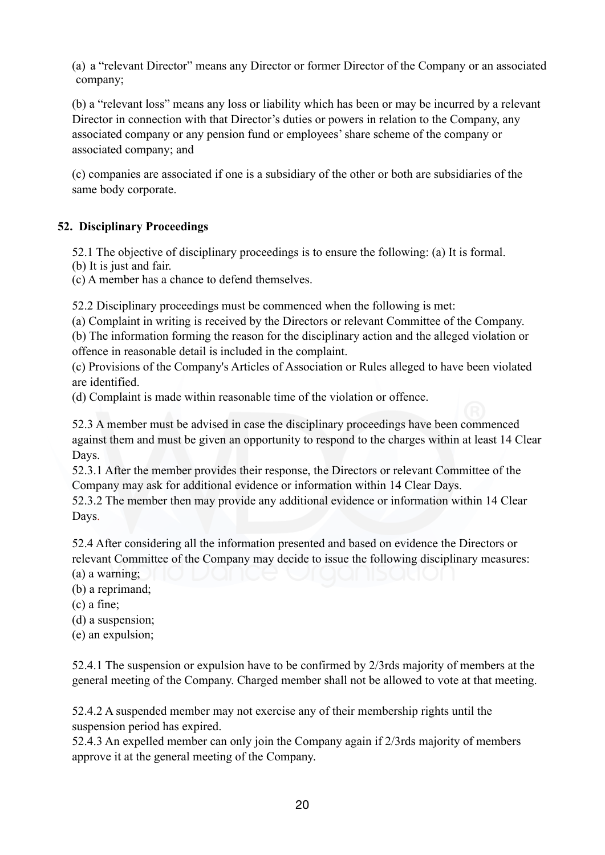(a) a "relevant Director" means any Director or former Director of the Company or an associated company;

(b) a "relevant loss" means any loss or liability which has been or may be incurred by a relevant Director in connection with that Director's duties or powers in relation to the Company, any associated company or any pension fund or employees' share scheme of the company or associated company; and

(c) companies are associated if one is a subsidiary of the other or both are subsidiaries of the same body corporate.

# **52. Disciplinary Proceedings**

52.1 The objective of disciplinary proceedings is to ensure the following: (a) It is formal.

(b) It is just and fair.

(c) A member has a chance to defend themselves.

52.2 Disciplinary proceedings must be commenced when the following is met:

(a) Complaint in writing is received by the Directors or relevant Committee of the Company.

(b) The information forming the reason for the disciplinary action and the alleged violation or offence in reasonable detail is included in the complaint.

(c) Provisions of the Company's Articles of Association or Rules alleged to have been violated are identified.

(d) Complaint is made within reasonable time of the violation or offence.

52.3 A member must be advised in case the disciplinary proceedings have been commenced against them and must be given an opportunity to respond to the charges within at least 14 Clear Days.

52.3.1 After the member provides their response, the Directors or relevant Committee of the Company may ask for additional evidence or information within 14 Clear Days.

52.3.2 The member then may provide any additional evidence or information within 14 Clear Days.

52.4 After considering all the information presented and based on evidence the Directors or relevant Committee of the Company may decide to issue the following disciplinary measures:

(a) a warning;

(b) a reprimand;

(c) a fine;

(d) a suspension;

(e) an expulsion;

52.4.1 The suspension or expulsion have to be confirmed by 2/3rds majority of members at the general meeting of the Company. Charged member shall not be allowed to vote at that meeting.

52.4.2 A suspended member may not exercise any of their membership rights until the suspension period has expired.

52.4.3 An expelled member can only join the Company again if 2/3rds majority of members approve it at the general meeting of the Company.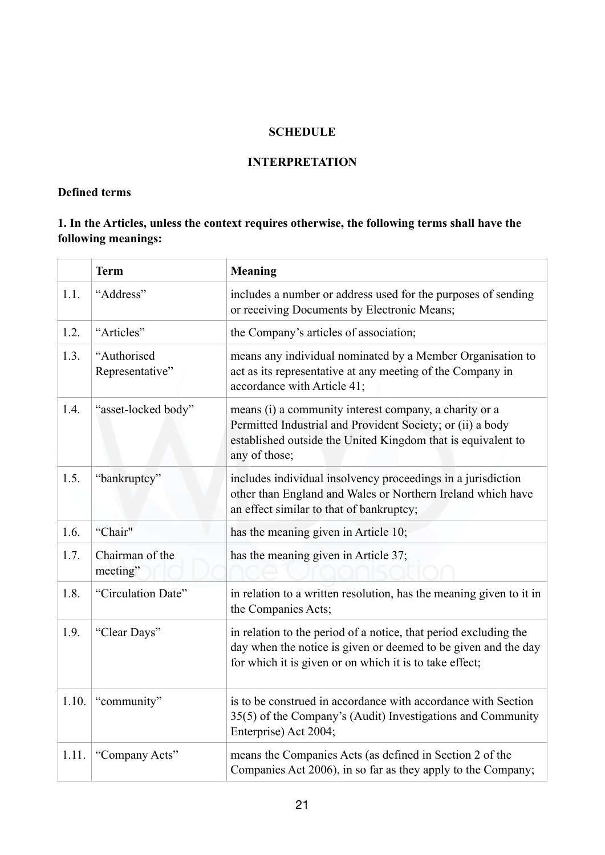# **SCHEDULE**

#### **INTERPRETATION**

#### **Defined terms**

# **1. In the Articles, unless the context requires otherwise, the following terms shall have the following meanings:**

|       | <b>Term</b>                    | <b>Meaning</b>                                                                                                                                                                                        |
|-------|--------------------------------|-------------------------------------------------------------------------------------------------------------------------------------------------------------------------------------------------------|
| 1.1.  | "Address"                      | includes a number or address used for the purposes of sending<br>or receiving Documents by Electronic Means;                                                                                          |
| 1.2.  | "Articles"                     | the Company's articles of association;                                                                                                                                                                |
| 1.3.  | "Authorised<br>Representative" | means any individual nominated by a Member Organisation to<br>act as its representative at any meeting of the Company in<br>accordance with Article 41;                                               |
| 1.4.  | "asset-locked body"            | means (i) a community interest company, a charity or a<br>Permitted Industrial and Provident Society; or (ii) a body<br>established outside the United Kingdom that is equivalent to<br>any of those; |
| 1.5.  | "bankruptcy"                   | includes individual insolvency proceedings in a jurisdiction<br>other than England and Wales or Northern Ireland which have<br>an effect similar to that of bankruptcy;                               |
| 1.6.  | "Chair"                        | has the meaning given in Article 10;                                                                                                                                                                  |
| 1.7.  | Chairman of the<br>meeting"    | has the meaning given in Article 37;                                                                                                                                                                  |
| 1.8.  | "Circulation Date"             | in relation to a written resolution, has the meaning given to it in<br>the Companies Acts;                                                                                                            |
| 1.9.  | "Clear Days"                   | in relation to the period of a notice, that period excluding the<br>day when the notice is given or deemed to be given and the day<br>for which it is given or on which it is to take effect;         |
| 1.10. | "community"                    | is to be construed in accordance with accordance with Section<br>35(5) of the Company's (Audit) Investigations and Community<br>Enterprise) Act 2004;                                                 |
| 1.11. | "Company Acts"                 | means the Companies Acts (as defined in Section 2 of the<br>Companies Act 2006), in so far as they apply to the Company;                                                                              |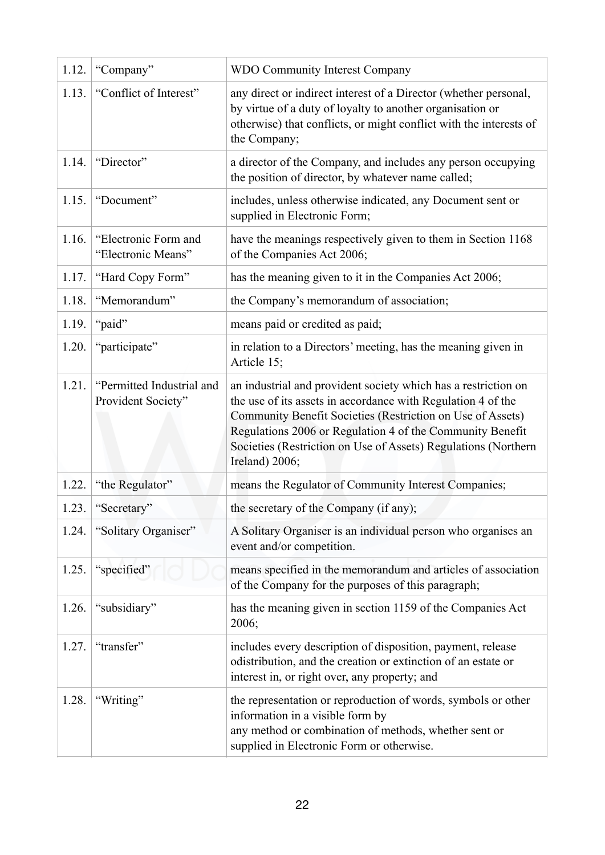| 1.12. | "Company"                                       | <b>WDO Community Interest Company</b>                                                                                                                                                                                                                                                                                                         |
|-------|-------------------------------------------------|-----------------------------------------------------------------------------------------------------------------------------------------------------------------------------------------------------------------------------------------------------------------------------------------------------------------------------------------------|
| 1.13. | "Conflict of Interest"                          | any direct or indirect interest of a Director (whether personal,<br>by virtue of a duty of loyalty to another organisation or<br>otherwise) that conflicts, or might conflict with the interests of<br>the Company;                                                                                                                           |
| 1.14. | "Director"                                      | a director of the Company, and includes any person occupying<br>the position of director, by whatever name called;                                                                                                                                                                                                                            |
| 1.15. | "Document"                                      | includes, unless otherwise indicated, any Document sent or<br>supplied in Electronic Form;                                                                                                                                                                                                                                                    |
| 1.16. | "Electronic Form and<br>"Electronic Means"      | have the meanings respectively given to them in Section 1168<br>of the Companies Act 2006;                                                                                                                                                                                                                                                    |
| 1.17. | "Hard Copy Form"                                | has the meaning given to it in the Companies Act 2006;                                                                                                                                                                                                                                                                                        |
| 1.18. | "Memorandum"                                    | the Company's memorandum of association;                                                                                                                                                                                                                                                                                                      |
| 1.19. | "paid"                                          | means paid or credited as paid;                                                                                                                                                                                                                                                                                                               |
| 1.20. | "participate"                                   | in relation to a Directors' meeting, has the meaning given in<br>Article 15;                                                                                                                                                                                                                                                                  |
| 1.21. | "Permitted Industrial and<br>Provident Society" | an industrial and provident society which has a restriction on<br>the use of its assets in accordance with Regulation 4 of the<br>Community Benefit Societies (Restriction on Use of Assets)<br>Regulations 2006 or Regulation 4 of the Community Benefit<br>Societies (Restriction on Use of Assets) Regulations (Northern<br>Ireland) 2006; |
| 1.22. | "the Regulator"                                 | means the Regulator of Community Interest Companies;                                                                                                                                                                                                                                                                                          |
| 1.23. | "Secretary"                                     | the secretary of the Company (if any);                                                                                                                                                                                                                                                                                                        |
| 1.24. | "Solitary Organiser"                            | A Solitary Organiser is an individual person who organises an<br>event and/or competition.                                                                                                                                                                                                                                                    |
| 1.25. | "specified"                                     | means specified in the memorandum and articles of association<br>of the Company for the purposes of this paragraph;                                                                                                                                                                                                                           |
| 1.26. | "subsidiary"                                    | has the meaning given in section 1159 of the Companies Act<br>2006;                                                                                                                                                                                                                                                                           |
| 1.27. | "transfer"                                      | includes every description of disposition, payment, release<br>odistribution, and the creation or extinction of an estate or<br>interest in, or right over, any property; and                                                                                                                                                                 |
| 1.28. | "Writing"                                       | the representation or reproduction of words, symbols or other<br>information in a visible form by<br>any method or combination of methods, whether sent or<br>supplied in Electronic Form or otherwise.                                                                                                                                       |